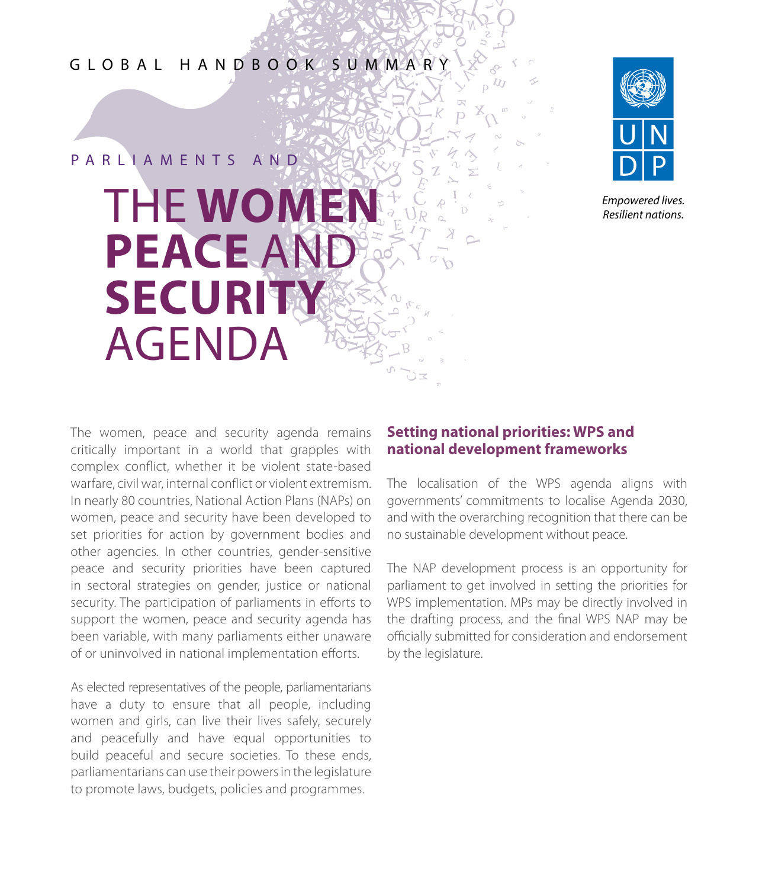GLOBAL HANDBOOK SUMMARY

# THE **WOMEN PEACE** AND **SECURITY**  AGENDA P A R L L A M F N T S A N D



*Empowered lives. Resilient nations.* 

The women, peace and security agenda remains critically important in a world that grapples with complex conflict, whether it be violent state-based warfare, civil war, internal conflict or violent extremism. In nearly 80 countries, National Action Plans (NAPs) on women, peace and security have been developed to set priorities for action by government bodies and other agencies. In other countries, gender-sensitive peace and security priorities have been captured in sectoral strategies on gender, justice or national security. The participation of parliaments in efforts to support the women, peace and security agenda has been variable, with many parliaments either unaware of or uninvolved in national implementation efforts.

As elected representatives of the people, parliamentarians have a duty to ensure that all people, including women and girls, can live their lives safely, securely and peacefully and have equal opportunities to build peaceful and secure societies. To these ends, parliamentarians can use their powers in the legislature to promote laws, budgets, policies and programmes.

## **Setting national priorities: WPS and national development frameworks**

The localisation of the WPS agenda aligns with governments' commitments to localise Agenda 2030, and with the overarching recognition that there can be no sustainable development without peace.

The NAP development process is an opportunity for parliament to get involved in setting the priorities for WPS implementation. MPs may be directly involved in the drafting process, and the final WPS NAP may be officially submitted for consideration and endorsement by the legislature.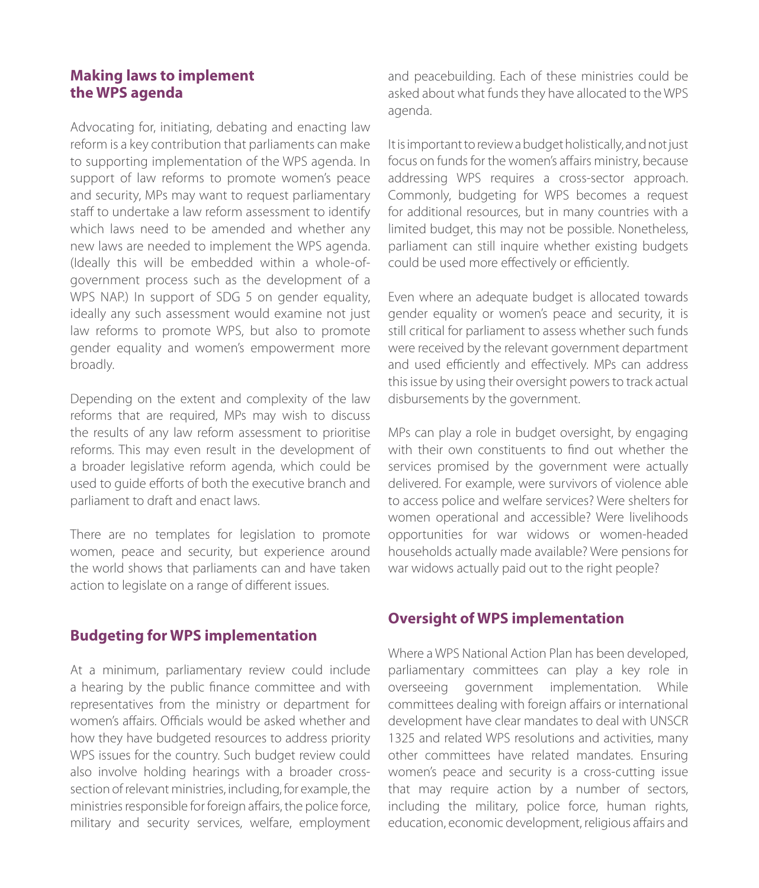# **Making laws to implement the WPS agenda**

Advocating for, initiating, debating and enacting law reform is a key contribution that parliaments can make to supporting implementation of the WPS agenda. In support of law reforms to promote women's peace and security, MPs may want to request parliamentary staff to undertake a law reform assessment to identify which laws need to be amended and whether any new laws are needed to implement the WPS agenda. (Ideally this will be embedded within a whole-ofgovernment process such as the development of a WPS NAP.) In support of SDG 5 on gender equality, ideally any such assessment would examine not just law reforms to promote WPS, but also to promote gender equality and women's empowerment more broadly.

Depending on the extent and complexity of the law reforms that are required, MPs may wish to discuss the results of any law reform assessment to prioritise reforms. This may even result in the development of a broader legislative reform agenda, which could be used to guide efforts of both the executive branch and parliament to draft and enact laws.

There are no templates for legislation to promote women, peace and security, but experience around the world shows that parliaments can and have taken action to legislate on a range of different issues.

# **Budgeting for WPS implementation**

At a minimum, parliamentary review could include a hearing by the public finance committee and with representatives from the ministry or department for women's affairs. Officials would be asked whether and how they have budgeted resources to address priority WPS issues for the country. Such budget review could also involve holding hearings with a broader crosssection of relevant ministries, including, for example, the ministries responsible for foreign affairs, the police force, military and security services, welfare, employment

and peacebuilding. Each of these ministries could be asked about what funds they have allocated to the WPS agenda.

It is important to review a budget holistically, and not just focus on funds for the women's affairs ministry, because addressing WPS requires a cross-sector approach. Commonly, budgeting for WPS becomes a request for additional resources, but in many countries with a limited budget, this may not be possible. Nonetheless, parliament can still inquire whether existing budgets could be used more effectively or efficiently.

Even where an adequate budget is allocated towards gender equality or women's peace and security, it is still critical for parliament to assess whether such funds were received by the relevant government department and used efficiently and effectively. MPs can address this issue by using their oversight powers to track actual disbursements by the government.

MPs can play a role in budget oversight, by engaging with their own constituents to find out whether the services promised by the government were actually delivered. For example, were survivors of violence able to access police and welfare services? Were shelters for women operational and accessible? Were livelihoods opportunities for war widows or women-headed households actually made available? Were pensions for war widows actually paid out to the right people?

# **Oversight of WPS implementation**

Where a WPS National Action Plan has been developed, parliamentary committees can play a key role in overseeing government implementation. While committees dealing with foreign affairs or international development have clear mandates to deal with UNSCR 1325 and related WPS resolutions and activities, many other committees have related mandates. Ensuring women's peace and security is a cross-cutting issue that may require action by a number of sectors, including the military, police force, human rights, education, economic development, religious affairs and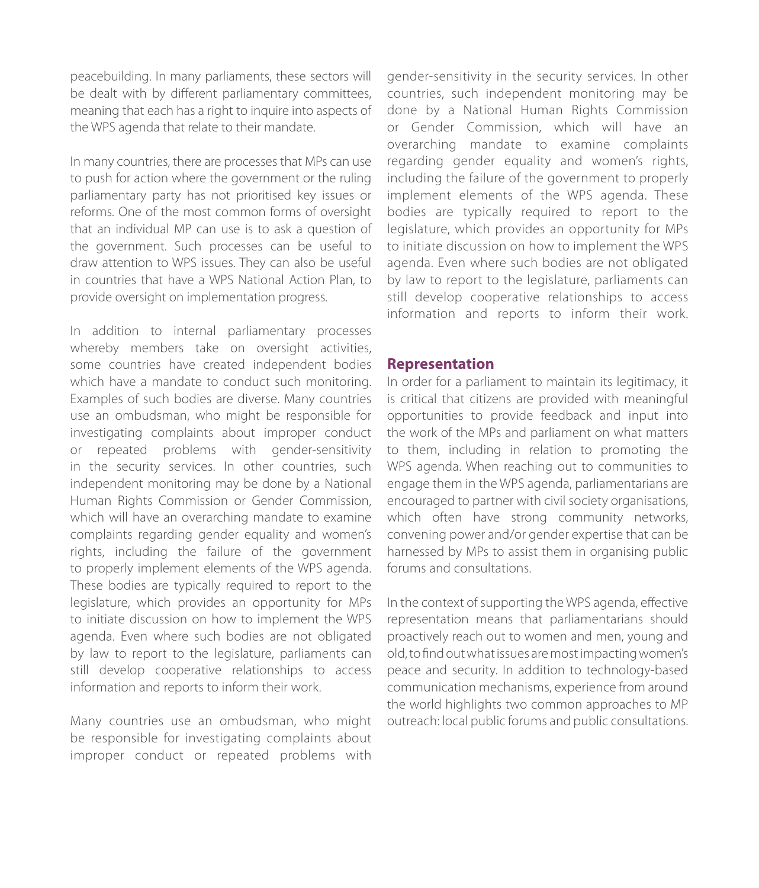peacebuilding. In many parliaments, these sectors will be dealt with by different parliamentary committees, meaning that each has a right to inquire into aspects of the WPS agenda that relate to their mandate.

In many countries, there are processes that MPs can use to push for action where the government or the ruling parliamentary party has not prioritised key issues or reforms. One of the most common forms of oversight that an individual MP can use is to ask a question of the government. Such processes can be useful to draw attention to WPS issues. They can also be useful in countries that have a WPS National Action Plan, to provide oversight on implementation progress.

In addition to internal parliamentary processes whereby members take on oversight activities, some countries have created independent bodies which have a mandate to conduct such monitoring. Examples of such bodies are diverse. Many countries use an ombudsman, who might be responsible for investigating complaints about improper conduct or repeated problems with gender-sensitivity in the security services. In other countries, such independent monitoring may be done by a National Human Rights Commission or Gender Commission, which will have an overarching mandate to examine complaints regarding gender equality and women's rights, including the failure of the government to properly implement elements of the WPS agenda. These bodies are typically required to report to the legislature, which provides an opportunity for MPs to initiate discussion on how to implement the WPS agenda. Even where such bodies are not obligated by law to report to the legislature, parliaments can still develop cooperative relationships to access information and reports to inform their work.

Many countries use an ombudsman, who might be responsible for investigating complaints about improper conduct or repeated problems with gender-sensitivity in the security services. In other countries, such independent monitoring may be done by a National Human Rights Commission or Gender Commission, which will have an overarching mandate to examine complaints regarding gender equality and women's rights, including the failure of the government to properly implement elements of the WPS agenda. These bodies are typically required to report to the legislature, which provides an opportunity for MPs to initiate discussion on how to implement the WPS agenda. Even where such bodies are not obligated by law to report to the legislature, parliaments can still develop cooperative relationships to access information and reports to inform their work.

## **Representation**

In order for a parliament to maintain its legitimacy, it is critical that citizens are provided with meaningful opportunities to provide feedback and input into the work of the MPs and parliament on what matters to them, including in relation to promoting the WPS agenda. When reaching out to communities to engage them in the WPS agenda, parliamentarians are encouraged to partner with civil society organisations, which often have strong community networks, convening power and/or gender expertise that can be harnessed by MPs to assist them in organising public forums and consultations.

In the context of supporting the WPS agenda, effective representation means that parliamentarians should proactively reach out to women and men, young and old, to find out what issues are most impacting women's peace and security. In addition to technology-based communication mechanisms, experience from around the world highlights two common approaches to MP outreach: local public forums and public consultations.